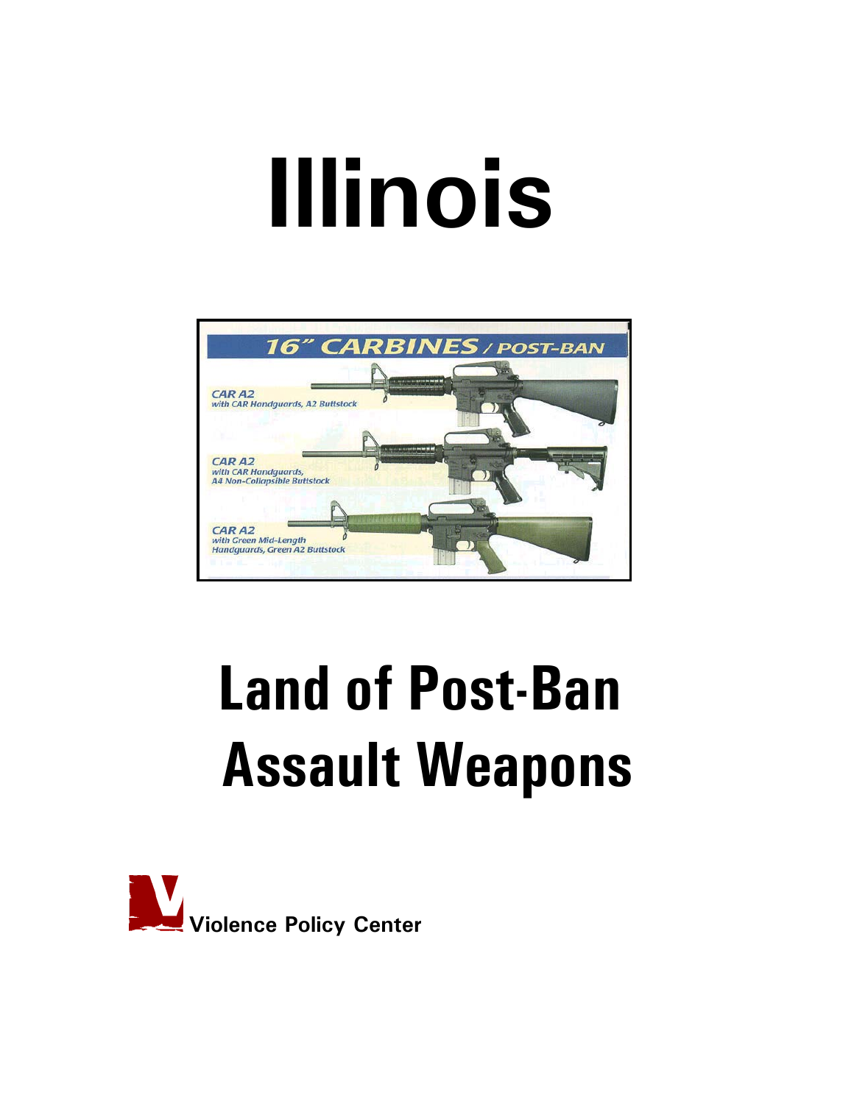# **Illinois**



# **Land of Post-Ban Assault Weapons**

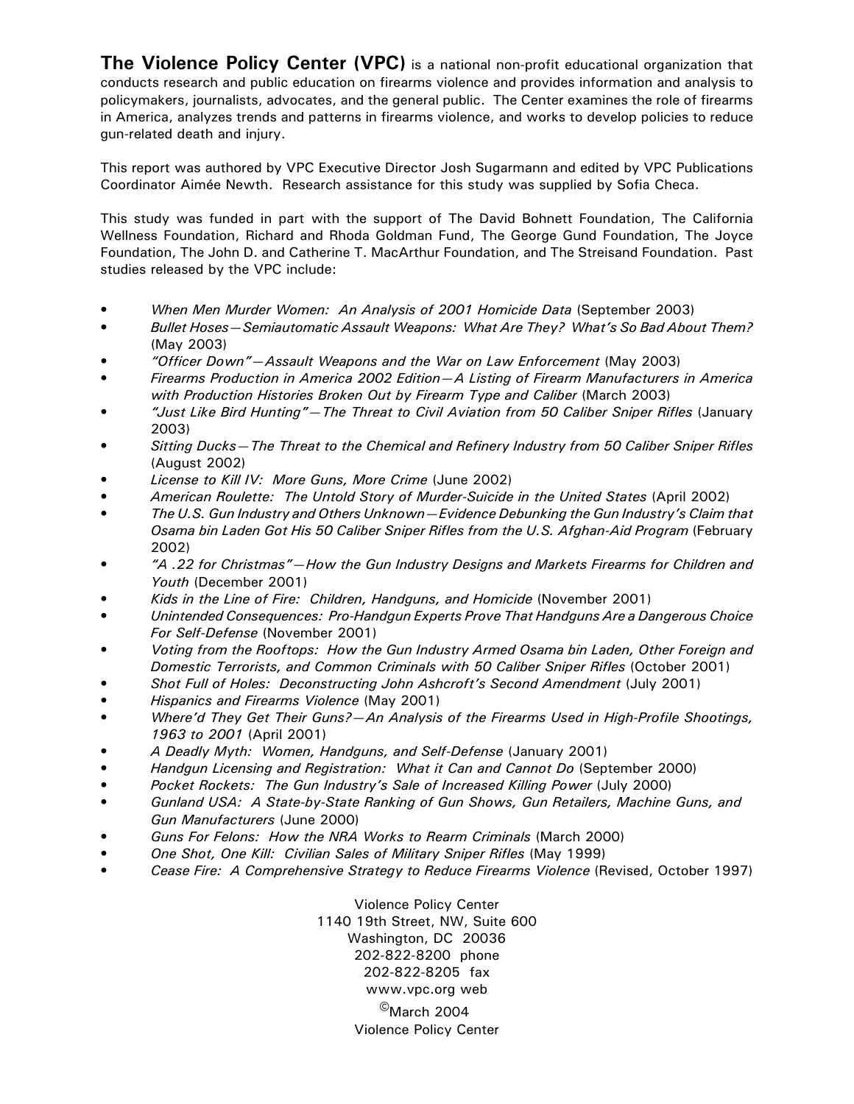**The Violence Policy Center (VPC)** is a national non-profit educational organization that conducts research and public education on firearms violence and provides information and analysis to policymakers, journalists, advocates, and the general public. The Center examines the role of firearms in America, analyzes trends and patterns in firearms violence, and works to develop policies to reduce gun-related death and injury.

This report was authored by VPC Executive Director Josh Sugarmann and edited by VPC Publications Coordinator Aimée Newth. Research assistance for this study was supplied by Sofia Checa.

This study was funded in part with the support of The David Bohnett Foundation, The California Wellness Foundation, Richard and Rhoda Goldman Fund, The George Gund Foundation, The Joyce Foundation, The John D. and Catherine T. MacArthur Foundation, and The Streisand Foundation. Past studies released by the VPC include:

- *When Men Murder Women: An Analysis of 2001 Homicide Data* (September 2003)
- *Bullet Hoses—Semiautomatic Assault Weapons: What Are They? What's So Bad About Them?* (May 2003)
- *"Officer Down"—Assault Weapons and the War on Law Enforcement* (May 2003)
- *Firearms Production in America 2002 Edition—A Listing of Firearm Manufacturers in America with Production Histories Broken Out by Firearm Type and Caliber* (March 2003)
- *"Just Like Bird Hunting"—The Threat to Civil Aviation from 50 Caliber Sniper Rifles* (January 2003)
- *Sitting Ducks—The Threat to the Chemical and Refinery Industry from 50 Caliber Sniper Rifles* (August 2002)
- *License to Kill IV: More Guns, More Crime* (June 2002)
- *American Roulette: The Untold Story of Murder-Suicide in the United States* (April 2002)
- *The U.S. Gun Industry and Others Unknown—Evidence Debunking the Gun Industry's Claim that Osama bin Laden Got His 50 Caliber Sniper Rifles from the U.S. Afghan-Aid Program* (February 2002)
- *"A .22 for Christmas"—How the Gun Industry Designs and Markets Firearms for Children and Youth* (December 2001)
- *Kids in the Line of Fire: Children, Handguns, and Homicide* (November 2001)
- *Unintended Consequences: Pro-Handgun Experts Prove That Handguns Are a Dangerous Choice For Self-Defense* (November 2001)
- *Voting from the Rooftops: How the Gun Industry Armed Osama bin Laden, Other Foreign and Domestic Terrorists, and Common Criminals with 50 Caliber Sniper Rifles* (October 2001)
- *Shot Full of Holes: Deconstructing John Ashcroft's Second Amendment* (July 2001)
- *Hispanics and Firearms Violence* (May 2001)
- *Where'd They Get Their Guns?—An Analysis of the Firearms Used in High-Profile Shootings, 1963 to 2001* (April 2001)
- *A Deadly Myth: Women, Handguns, and Self-Defense* (January 2001)
- *Handgun Licensing and Registration: What it Can and Cannot Do* (September 2000)
- *Pocket Rockets: The Gun Industry's Sale of Increased Killing Power* **(July 2000)**
- *Gunland USA: A State-by-State Ranking of Gun Shows, Gun Retailers, Machine Guns, and Gun Manufacturers* (June 2000)
- *Guns For Felons: How the NRA Works to Rearm Criminals* (March 2000)
- *One Shot, One Kill: Civilian Sales of Military Sniper Rifles* (May 1999)
- *Cease Fire: A Comprehensive Strategy to Reduce Firearms Violence* (Revised, October 1997)

Violence Policy Center 1140 19th Street, NW, Suite 600 Washington, DC 20036 202-822-8200 phone 202-822-8205 fax www.vpc.org web  $^{\circ}$ March 2004 Violence Policy Center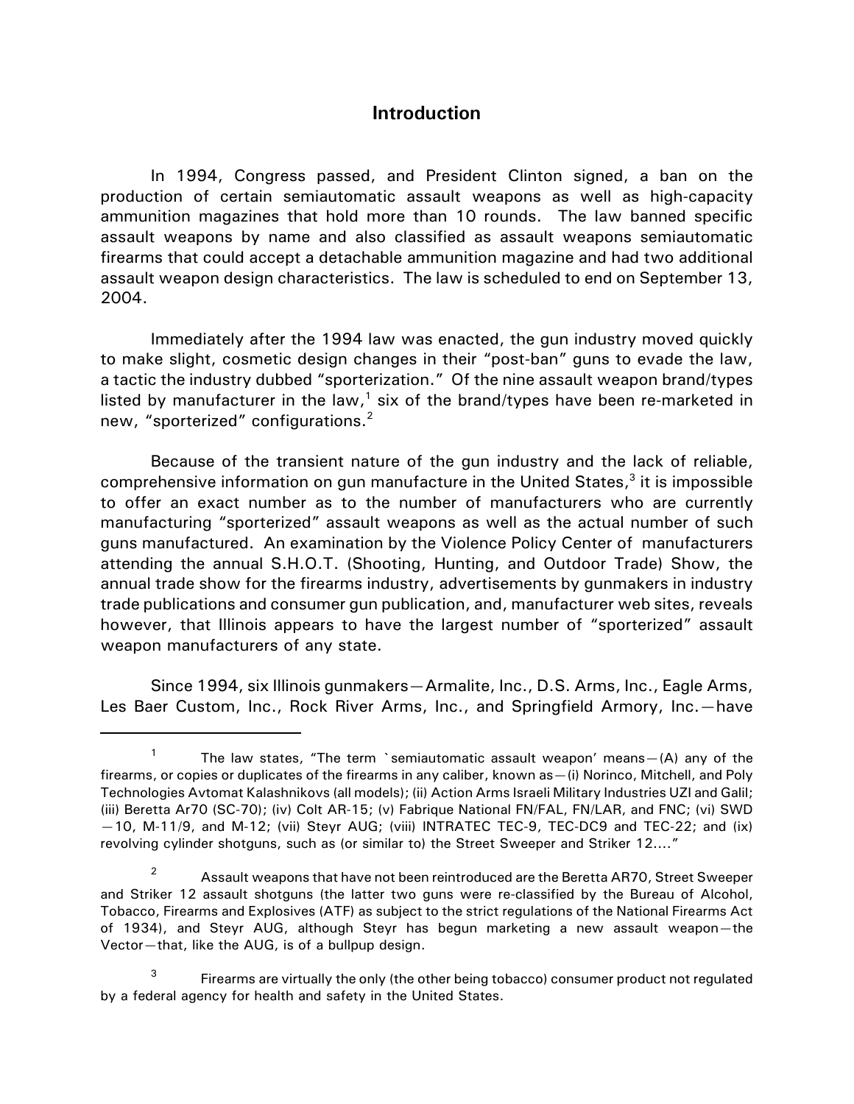# **Introduction**

In 1994, Congress passed, and President Clinton signed, a ban on the production of certain semiautomatic assault weapons as well as high-capacity ammunition magazines that hold more than 10 rounds. The law banned specific assault weapons by name and also classified as assault weapons semiautomatic firearms that could accept a detachable ammunition magazine and had two additional assault weapon design characteristics. The law is scheduled to end on September 13, 2004.

Immediately after the 1994 law was enacted, the gun industry moved quickly to make slight, cosmetic design changes in their "post-ban" guns to evade the law, a tactic the industry dubbed "sporterization." Of the nine assault weapon brand/types listed by manufacturer in the law,<sup>1</sup> six of the brand/types have been re-marketed in new, "sporterized" configurations.<sup>2</sup>

Because of the transient nature of the gun industry and the lack of reliable, comprehensive information on gun manufacture in the United States,<sup>3</sup> it is impossible to offer an exact number as to the number of manufacturers who are currently manufacturing "sporterized" assault weapons as well as the actual number of such guns manufactured. An examination by the Violence Policy Center of manufacturers attending the annual S.H.O.T. (Shooting, Hunting, and Outdoor Trade) Show, the annual trade show for the firearms industry, advertisements by gunmakers in industry trade publications and consumer gun publication, and, manufacturer web sites, reveals however, that Illinois appears to have the largest number of "sporterized" assault weapon manufacturers of any state.

Since 1994, six Illinois gunmakers—Armalite, Inc., D.S. Arms, Inc., Eagle Arms, Les Baer Custom, Inc., Rock River Arms, Inc., and Springfield Armory, Inc.—have

<sup>&</sup>lt;sup>1</sup> The law states, "The term `semiautomatic assault weapon' means - (A) any of the firearms, or copies or duplicates of the firearms in any caliber, known as—(i) Norinco, Mitchell, and Poly Technologies Avtomat Kalashnikovs (all models); (ii) Action Arms Israeli Military Industries UZI and Galil; (iii) Beretta Ar70 (SC-70); (iv) Colt AR-15; (v) Fabrique National FN/FAL, FN/LAR, and FNC; (vi) SWD —10, M-11/9, and M-12; (vii) Steyr AUG; (viii) INTRATEC TEC-9, TEC-DC9 and TEC-22; and (ix) revolving cylinder shotguns, such as (or similar to) the Street Sweeper and Striker 12...."

<sup>&</sup>lt;sup>2</sup> Assault weapons that have not been reintroduced are the Beretta AR70, Street Sweeper and Striker 12 assault shotguns (the latter two guns were re-classified by the Bureau of Alcohol, Tobacco, Firearms and Explosives (ATF) as subject to the strict regulations of the National Firearms Act of 1934), and Steyr AUG, although Steyr has begun marketing a new assault weapon—the Vector—that, like the AUG, is of a bullpup design.

<sup>&</sup>lt;sup>3</sup> Firearms are virtually the only (the other being tobacco) consumer product not regulated by a federal agency for health and safety in the United States.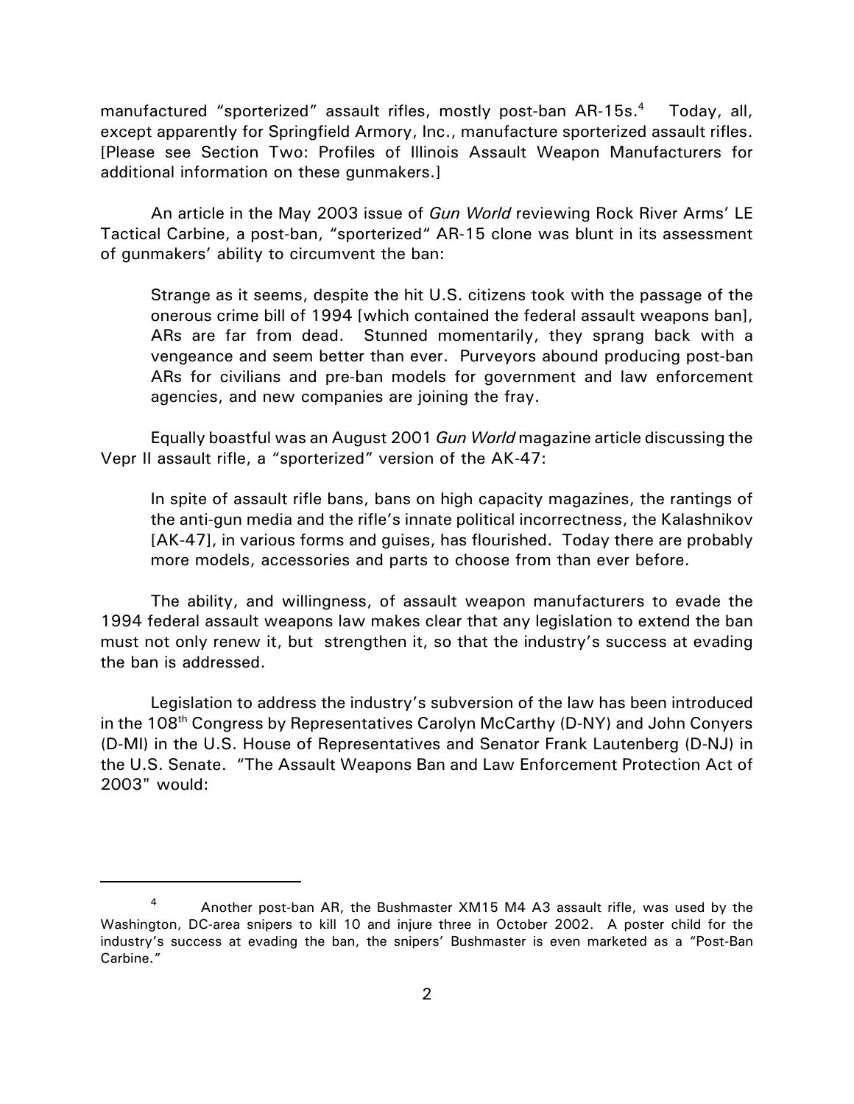manufactured "sporterized" assault rifles, mostly post-ban AR-15s.<sup>4</sup> Today, all, except apparently for Springfield Armory, Inc., manufacture sporterized assault rifles. [Please see Section Two: Profiles of Illinois Assault Weapon Manufacturers for additional information on these gunmakers.]

An article in the May 2003 issue of *Gun World* reviewing Rock River Arms' LE Tactical Carbine, a post-ban, "sporterized" AR-15 clone was blunt in its assessment of gunmakers' ability to circumvent the ban:

Strange as it seems, despite the hit U.S. citizens took with the passage of the onerous crime bill of 1994 [which contained the federal assault weapons ban], ARs are far from dead. Stunned momentarily, they sprang back with a vengeance and seem better than ever. Purveyors abound producing post-ban ARs for civilians and pre-ban models for government and law enforcement agencies, and new companies are joining the fray.

Equally boastful was an August 2001 *Gun World* magazine article discussing the Vepr II assault rifle, a "sporterized" version of the AK-47:

In spite of assault rifle bans, bans on high capacity magazines, the rantings of the anti-gun media and the rifle's innate political incorrectness, the Kalashnikov [AK-47], in various forms and guises, has flourished. Today there are probably more models, accessories and parts to choose from than ever before.

The ability, and willingness, of assault weapon manufacturers to evade the 1994 federal assault weapons law makes clear that any legislation to extend the ban must not only renew it, but strengthen it, so that the industry's success at evading the ban is addressed.

Legislation to address the industry's subversion of the law has been introduced in the  $108<sup>th</sup>$  Congress by Representatives Carolyn McCarthy (D-NY) and John Conyers (D-MI) in the U.S. House of Representatives and Senator Frank Lautenberg (D-NJ) in the U.S. Senate. "The Assault Weapons Ban and Law Enforcement Protection Act of 2003" would:

<sup>4</sup> Another post-ban AR, the Bushmaster XM15 M4 A3 assault rifle, was used by the Washington, DC-area snipers to kill 10 and injure three in October 2002. A poster child for the industry's success at evading the ban, the snipers' Bushmaster is even marketed as a "Post-Ban Carbine."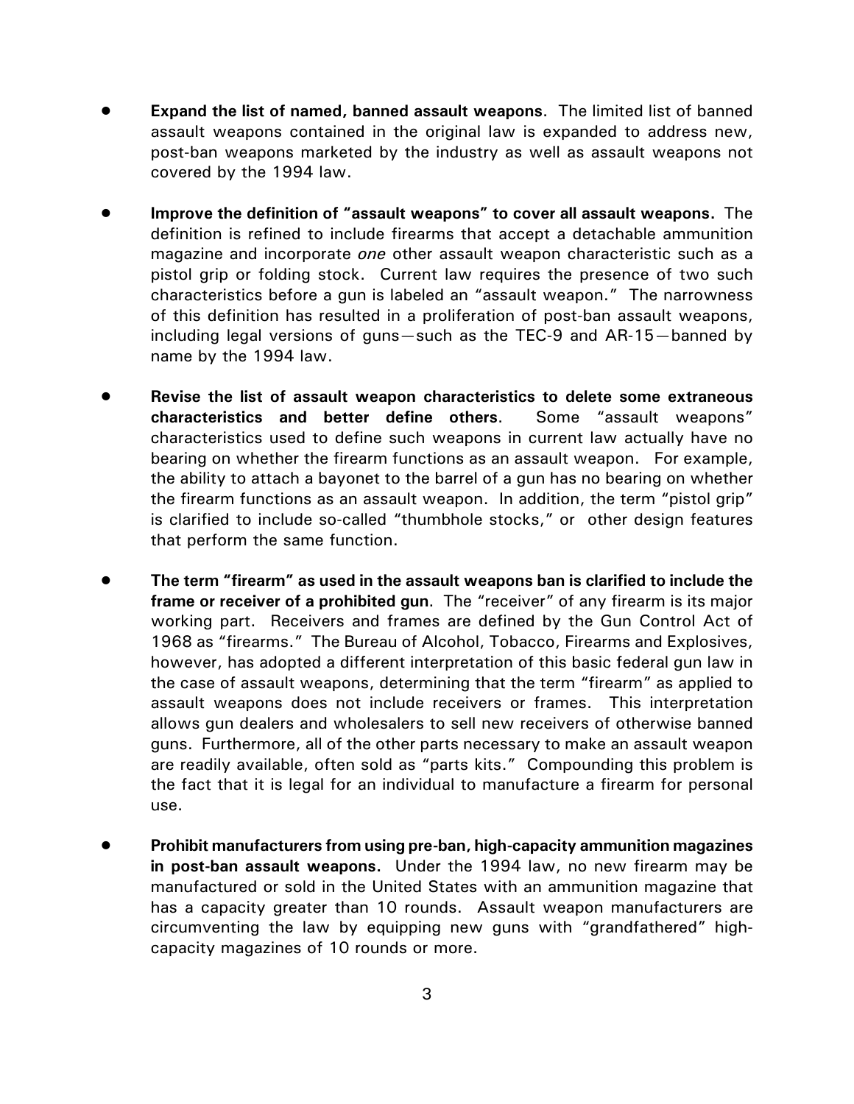- **Expand the list of named, banned assault weapons.** The limited list of banned assault weapons contained in the original law is expanded to address new, post-ban weapons marketed by the industry as well as assault weapons not covered by the 1994 law.
- ! **Improve the definition of "assault weapons" to cover all assault weapons.** The definition is refined to include firearms that accept a detachable ammunition magazine and incorporate *one* other assault weapon characteristic such as a pistol grip or folding stock. Current law requires the presence of two such characteristics before a gun is labeled an "assault weapon." The narrowness of this definition has resulted in a proliferation of post-ban assault weapons, including legal versions of guns—such as the TEC-9 and AR-15—banned by name by the 1994 law.
- ! **Revise the list of assault weapon characteristics to delete some extraneous characteristics and better define others**. Some "assault weapons" characteristics used to define such weapons in current law actually have no bearing on whether the firearm functions as an assault weapon. For example, the ability to attach a bayonet to the barrel of a gun has no bearing on whether the firearm functions as an assault weapon. In addition, the term "pistol grip" is clarified to include so-called "thumbhole stocks," or other design features that perform the same function.
- ! **The term "firearm" as used in the assault weapons ban is clarified to include the frame or receiver of a prohibited gun**. The "receiver" of any firearm is its major working part. Receivers and frames are defined by the Gun Control Act of 1968 as "firearms." The Bureau of Alcohol, Tobacco, Firearms and Explosives, however, has adopted a different interpretation of this basic federal gun law in the case of assault weapons, determining that the term "firearm" as applied to assault weapons does not include receivers or frames. This interpretation allows gun dealers and wholesalers to sell new receivers of otherwise banned guns. Furthermore, all of the other parts necessary to make an assault weapon are readily available, often sold as "parts kits." Compounding this problem is the fact that it is legal for an individual to manufacture a firearm for personal use.
- ! **Prohibit manufacturers from using pre-ban, high-capacity ammunition magazines in post-ban assault weapons.** Under the 1994 law, no new firearm may be manufactured or sold in the United States with an ammunition magazine that has a capacity greater than 10 rounds. Assault weapon manufacturers are circumventing the law by equipping new guns with "grandfathered" highcapacity magazines of 10 rounds or more.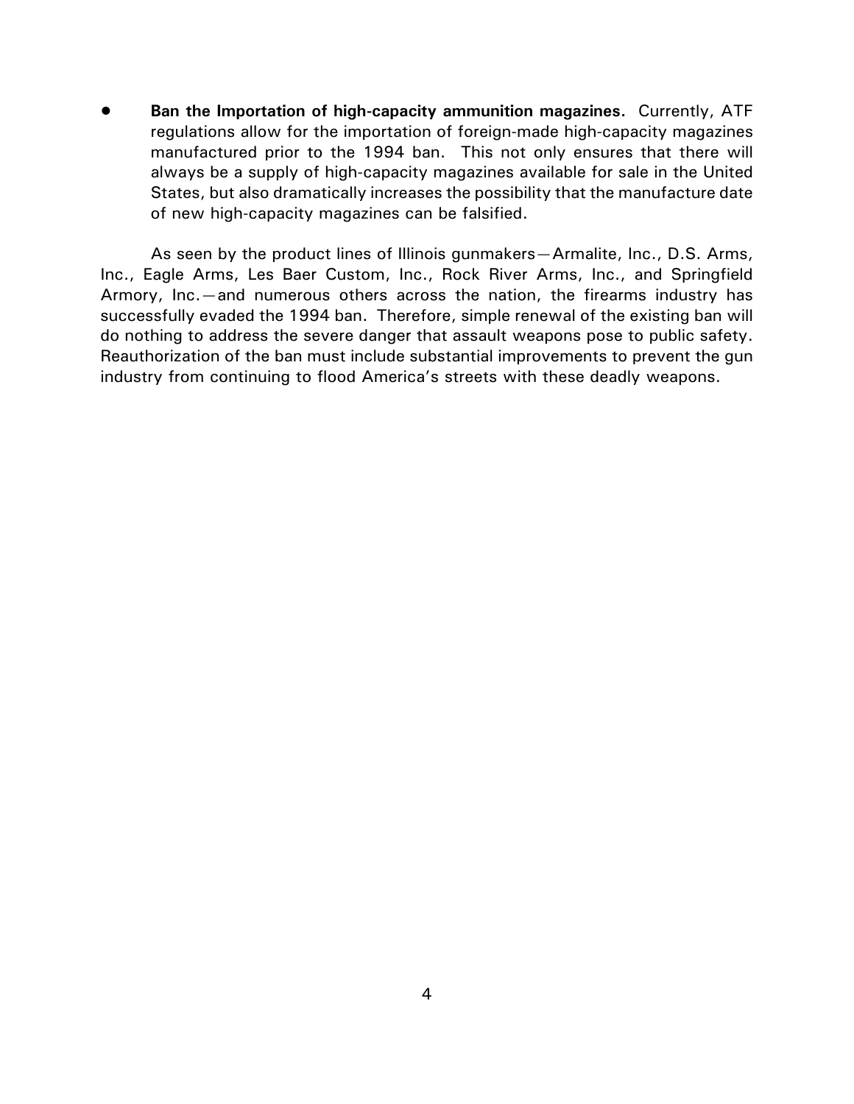! **Ban the Importation of high-capacity ammunition magazines.** Currently, ATF regulations allow for the importation of foreign-made high-capacity magazines manufactured prior to the 1994 ban. This not only ensures that there will always be a supply of high-capacity magazines available for sale in the United States, but also dramatically increases the possibility that the manufacture date of new high-capacity magazines can be falsified.

As seen by the product lines of Illinois gunmakers—Armalite, Inc., D.S. Arms, Inc., Eagle Arms, Les Baer Custom, Inc., Rock River Arms, Inc., and Springfield Armory, Inc.—and numerous others across the nation, the firearms industry has successfully evaded the 1994 ban. Therefore, simple renewal of the existing ban will do nothing to address the severe danger that assault weapons pose to public safety. Reauthorization of the ban must include substantial improvements to prevent the gun industry from continuing to flood America's streets with these deadly weapons.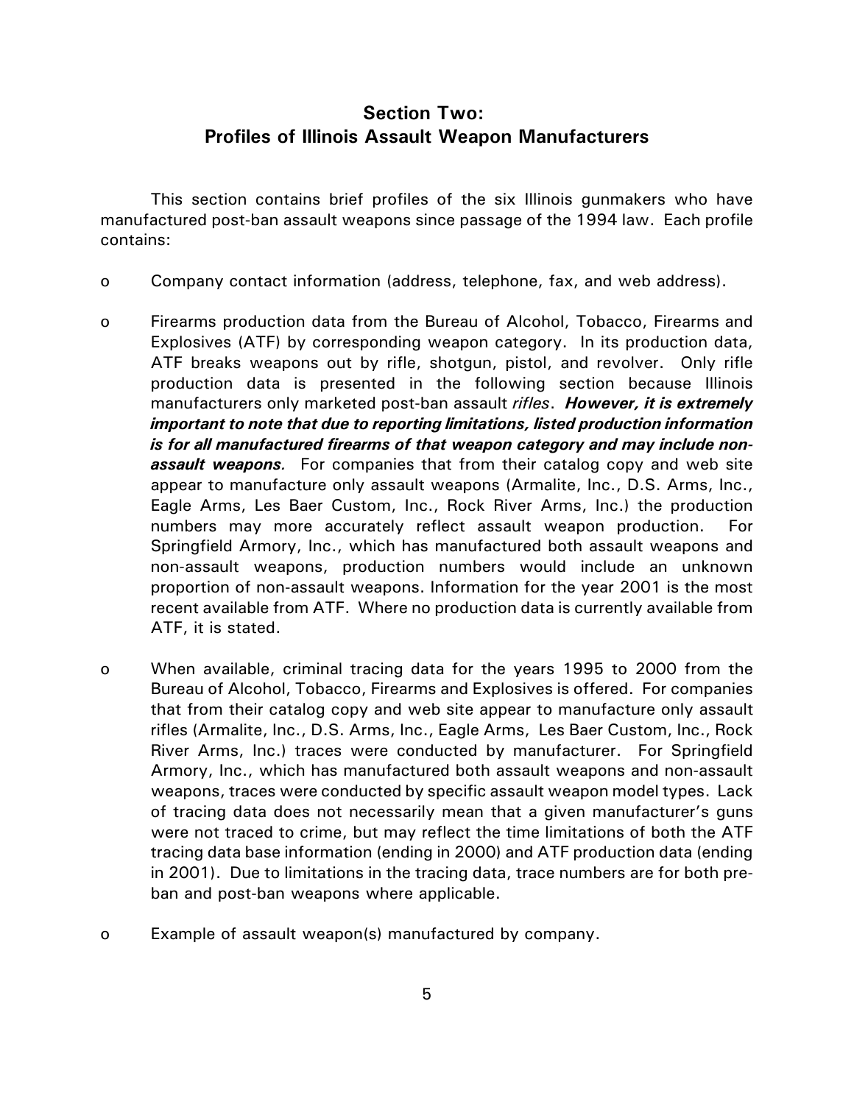# **Section Two: Profiles of Illinois Assault Weapon Manufacturers**

This section contains brief profiles of the six Illinois gunmakers who have manufactured post-ban assault weapons since passage of the 1994 law. Each profile contains:

- o Company contact information (address, telephone, fax, and web address).
- o Firearms production data from the Bureau of Alcohol, Tobacco, Firearms and Explosives (ATF) by corresponding weapon category. In its production data, ATF breaks weapons out by rifle, shotgun, pistol, and revolver. Only rifle production data is presented in the following section because Illinois manufacturers only marketed post-ban assault *rifles*. *However, it is extremely important to note that due to reporting limitations, listed production information is for all manufactured firearms of that weapon category and may include nonassault weapons.* For companies that from their catalog copy and web site appear to manufacture only assault weapons (Armalite, Inc., D.S. Arms, Inc., Eagle Arms, Les Baer Custom, Inc., Rock River Arms, Inc.) the production numbers may more accurately reflect assault weapon production. For Springfield Armory, Inc., which has manufactured both assault weapons and non-assault weapons, production numbers would include an unknown proportion of non-assault weapons. Information for the year 2001 is the most recent available from ATF. Where no production data is currently available from ATF, it is stated.
- o When available, criminal tracing data for the years 1995 to 2000 from the Bureau of Alcohol, Tobacco, Firearms and Explosives is offered. For companies that from their catalog copy and web site appear to manufacture only assault rifles (Armalite, Inc., D.S. Arms, Inc., Eagle Arms, Les Baer Custom, Inc., Rock River Arms, Inc.) traces were conducted by manufacturer. For Springfield Armory, Inc., which has manufactured both assault weapons and non-assault weapons, traces were conducted by specific assault weapon model types. Lack of tracing data does not necessarily mean that a given manufacturer's guns were not traced to crime, but may reflect the time limitations of both the ATF tracing data base information (ending in 2000) and ATF production data (ending in 2001). Due to limitations in the tracing data, trace numbers are for both preban and post-ban weapons where applicable.
- o Example of assault weapon(s) manufactured by company.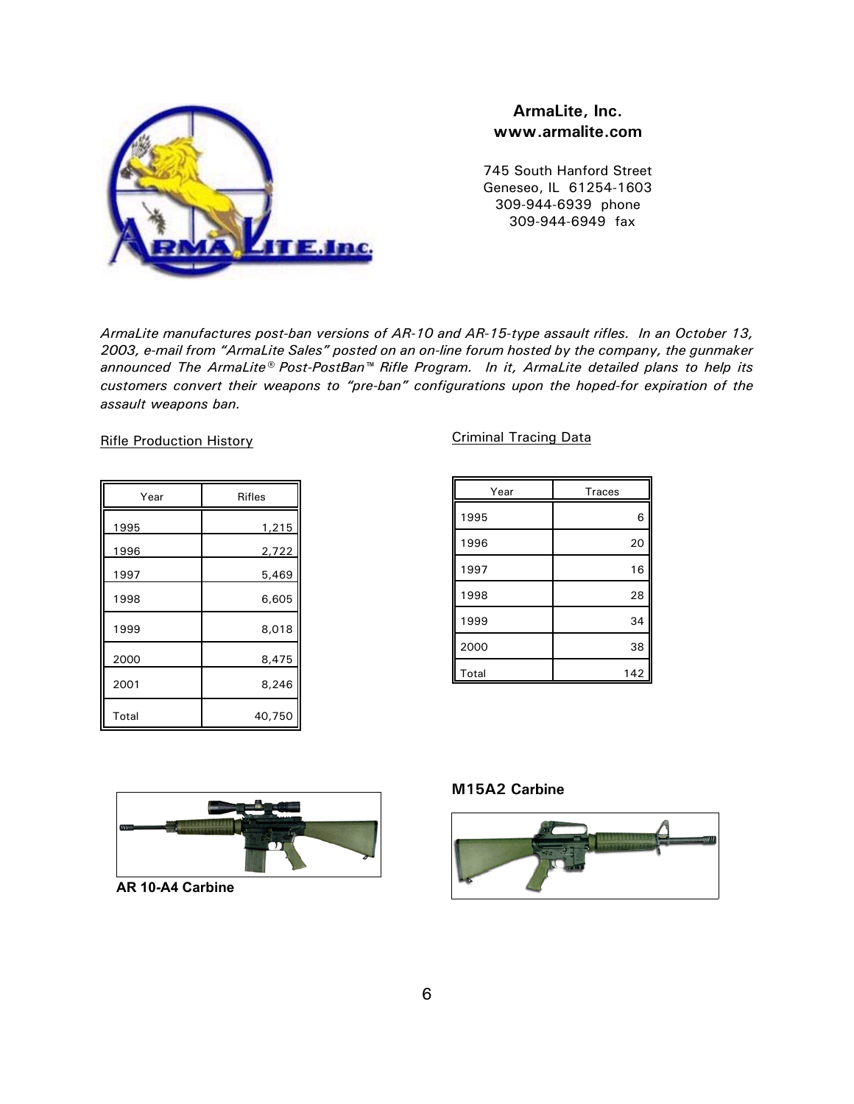

#### **ArmaLite, Inc. www.armalite.com**

745 South Hanford Street Geneseo, IL 61254-1603 309-944-6939 phone 309-944-6949 fax

*ArmaLite manufactures post-ban versions of AR-10 and AR-15-type assault rifles. In an October 13, 2003, e-mail from "ArmaLite Sales" posted on an on-line forum hosted by the company, the gunmaker announced The ArmaLite® Post-PostBan™ Rifle Program. In it, ArmaLite detailed plans to help its customers convert their weapons to "pre-ban" configurations upon the hoped-for expiration of the assault weapons ban.* 

Rifle Production History

| Year  | <b>Rifles</b> |
|-------|---------------|
| 1995  | 1,215         |
| 1996  | 2,722         |
| 1997  | 5,469         |
| 1998  | 6,605         |
| 1999  | 8,018         |
| 2000  | 8,475         |
| 2001  | 8,246         |
| Total | 40,750        |

#### Criminal Tracing Data

| Year  | <b>Traces</b> |
|-------|---------------|
| 1995  | 6             |
| 1996  | 20            |
| 1997  | 16            |
| 1998  | 28            |
| 1999  | 34            |
| 2000  | 38            |
| Total | 142           |



**AR 10-A4 Carbine**

#### **M15A2 Carbine**

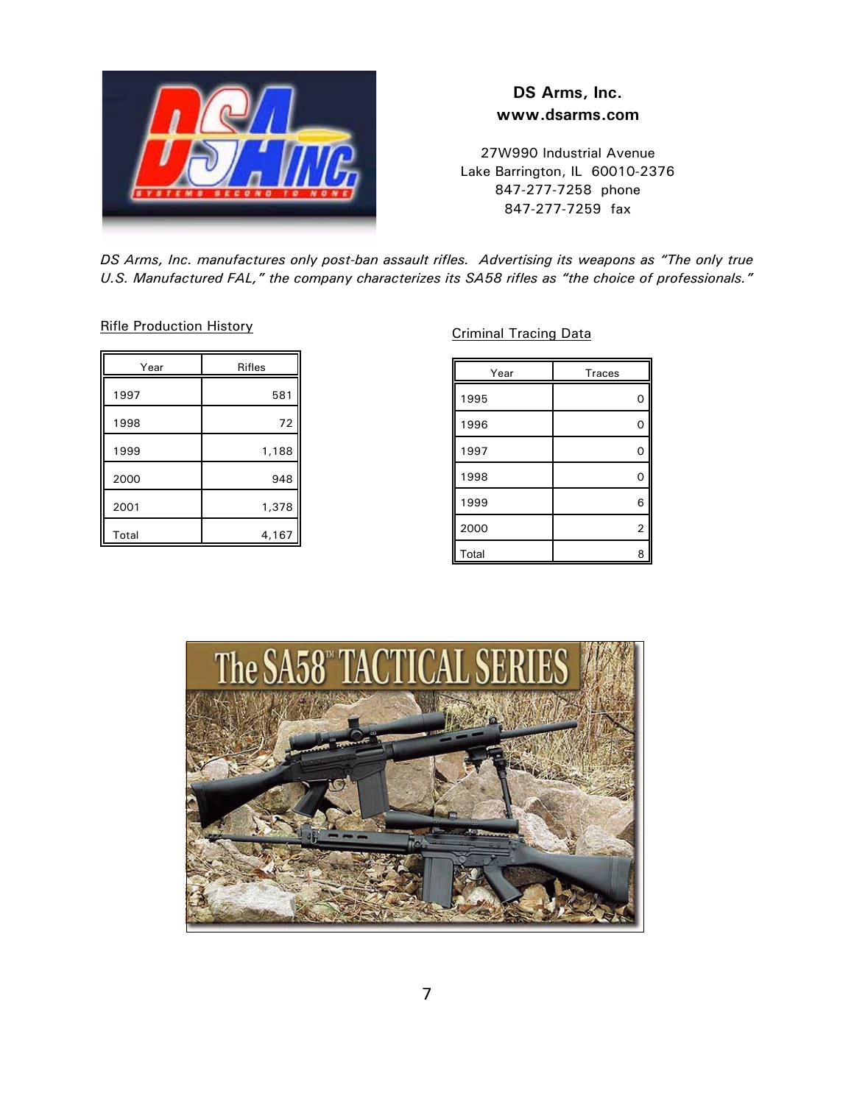

# **DS Arms, Inc. www.dsarms.com**

27W990 Industrial Avenue Lake Barrington, IL 60010-2376 847-277-7258 phone 847-277-7259 fax

*DS Arms, Inc. manufactures only post-ban assault rifles. Advertising its weapons as "The only true U.S. Manufactured FAL," the company characterizes its SA58 rifles as "the choice of professionals."*

Rifle Production History

| Year  | <b>Rifles</b> |
|-------|---------------|
| 1997  | 581           |
| 1998  | 72            |
| 1999  | 1,188         |
| 2000  | 948           |
| 2001  | 1,378         |
| Total | 4,167         |

Criminal Tracing Data

| Year  | <b>Traces</b> |
|-------|---------------|
| 1995  | O             |
| 1996  | C             |
| 1997  | O             |
| 1998  | C             |
| 1999  | 6             |
| 2000  | 2             |
| Total | ٤             |

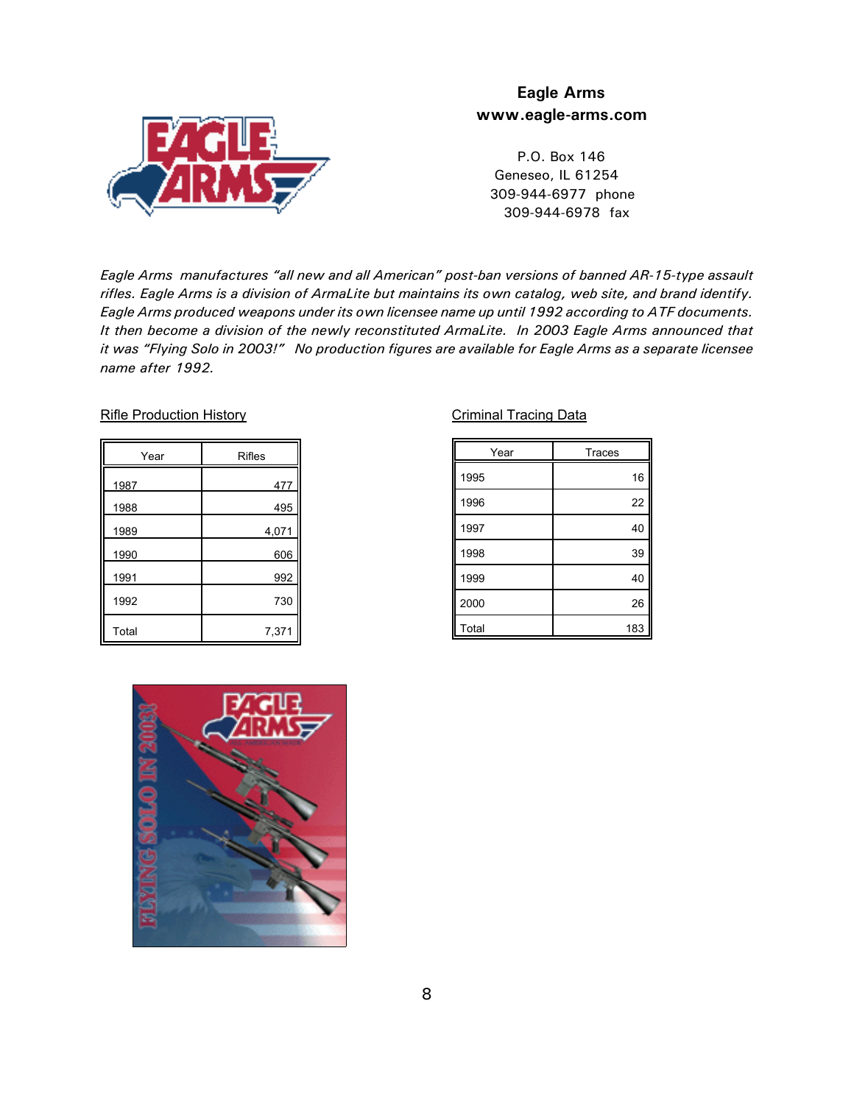

### **Eagle Arms www.eagle-arms.com**

 P.O. Box 146 Geneseo, IL 61254 309-944-6977 phone 309-944-6978 fax

*Eagle Arms manufactures "all new and all American" post-ban versions of banned AR-15-type assault rifles. Eagle Arms is a division of ArmaLite but maintains its own catalog, web site, and brand identify. Eagle Arms produced weapons under its own licensee name up until 1992 according to ATF documents. It then become a division of the newly reconstituted ArmaLite. In 2003 Eagle Arms announced that it was "Flying Solo in 2003!" No production figures are available for Eagle Arms as a separate licensee name after 1992.*

#### Rifle Production History

| Year  | <b>Rifles</b> |
|-------|---------------|
| 1987  | 477           |
| 1988  | 495           |
| 1989  | 4,071         |
| 1990  | 606           |
| 1991  | 992           |
| 1992  | 730           |
| Total | 7,371         |

#### Criminal Tracing Data

| Year  | <b>Traces</b> |
|-------|---------------|
| 1995  | 16            |
| 1996  | 22            |
| 1997  | 40            |
| 1998  | 39            |
| 1999  | 40            |
| 2000  | 26            |
| Total | 183           |

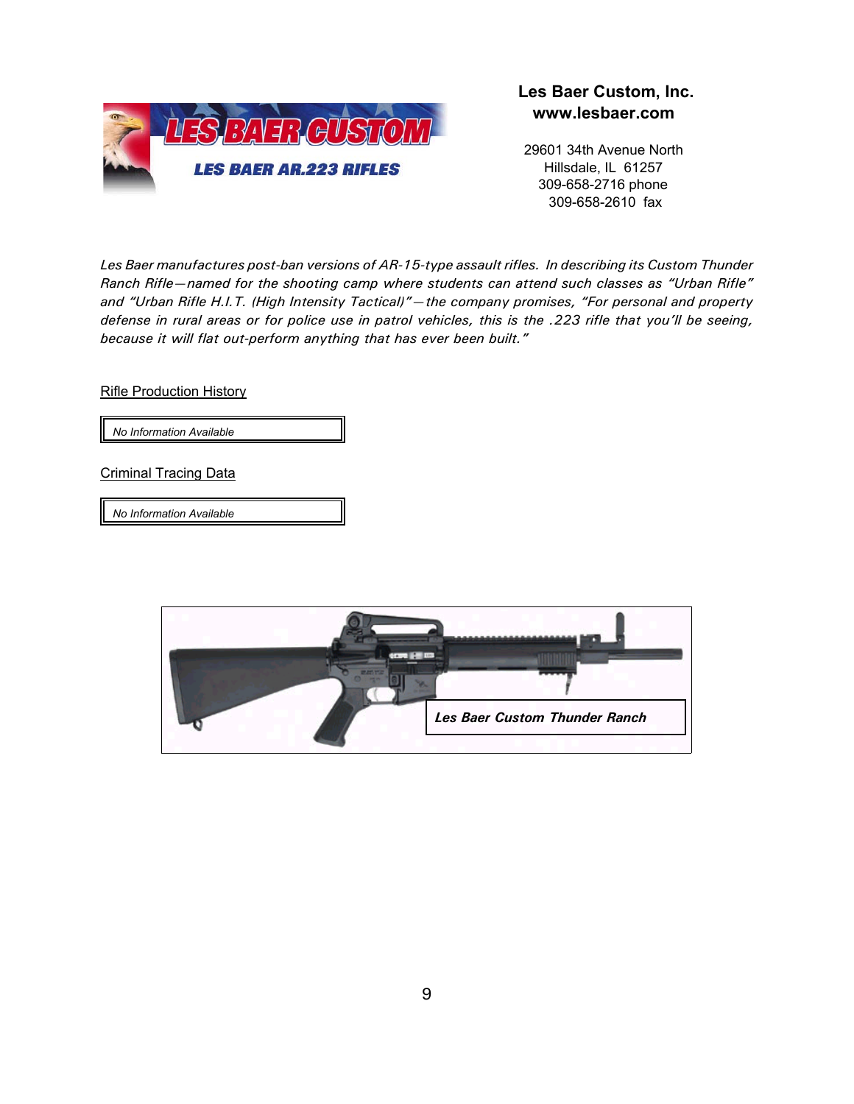

#### **Les Baer Custom, Inc. www.lesbaer.com**

29601 34th Avenue North Hillsdale, IL 61257 309-658-2716 phone 309-658-2610 fax

*Les Baer manufactures post-ban versions of AR-15-type assault rifles. In describing its Custom Thunder Ranch Rifle—named for the shooting camp where students can attend such classes as "Urban Rifle" and "Urban Rifle H.I.T. (High Intensity Tactical)"—the company promises, "For personal and property defense in rural areas or for police use in patrol vehicles, this is the .223 rifle that you'll be seeing, because it will flat out-perform anything that has ever been built."* 

Rifle Production History

*No Information Available*

Criminal Tracing Data

*No Information Available*

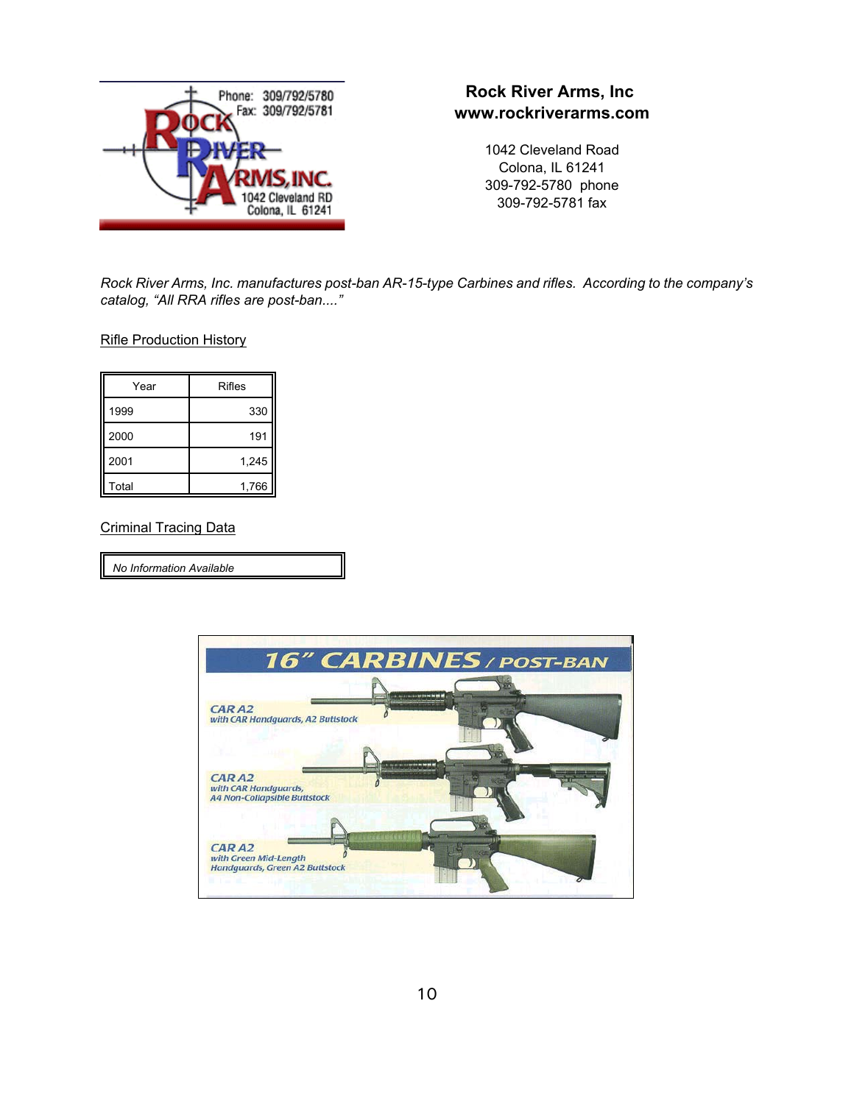

# **Rock River Arms, Inc www.rockriverarms.com**

1042 Cleveland Road Colona, IL 61241 309-792-5780 phone 309-792-5781 fax

*Rock River Arms, Inc. manufactures post-ban AR-15-type Carbines and rifles. According to the company's catalog, "All RRA rifles are post-ban...."*

Rifle Production History

| Year  | Rifles |
|-------|--------|
| 1999  | 330    |
| 2000  | 191    |
| 2001  | 1,245  |
| Total | 1,766  |

#### Criminal Tracing Data

*No Information Available*